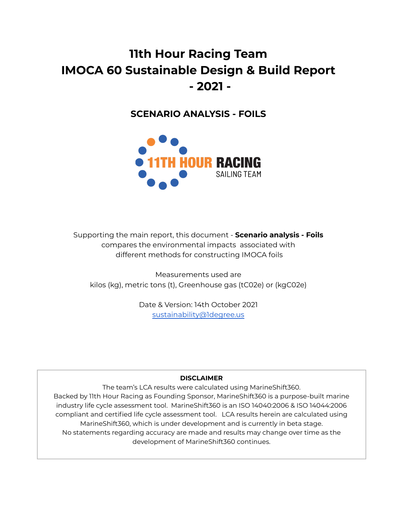# **11th Hour Racing Team IMOCA 60 Sustainable Design & Build Report - 2021 -**

**SCENARIO ANALYSIS - FOILS**



Supporting the main report, this document - **Scenario analysis - Foils** compares the environmental impacts associated with different methods for constructing IMOCA foils

Measurements used are kilos (kg), metric tons (t), Greenhouse gas (tC02e) or (kgC02e)

> Date & Version: 14th October 2021 [sustainability@1degree.us](mailto:sustainability@1degree.us)

## **DISCLAIMER**

The team's LCA results were calculated using MarineShift360. Backed by 11th Hour Racing as Founding Sponsor, MarineShift360 is a purpose-built marine industry life cycle assessment tool. MarineShift360 is an ISO 14040:2006 & ISO 14044:2006 compliant and certified life cycle assessment tool. LCA results herein are calculated using MarineShift360, which is under development and is currently in beta stage. No statements regarding accuracy are made and results may change over time as the development of MarineShift360 continues.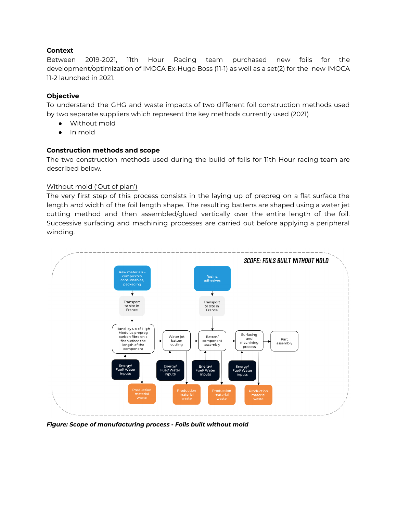## **Context**

Between 2019-2021, 11th Hour Racing team purchased new foils for the development/optimization of IMOCA Ex-Hugo Boss (11-1) as well as a set(2) for the new IMOCA 11-2 launched in 2021.

## **Objective**

To understand the GHG and waste impacts of two different foil construction methods used by two separate suppliers which represent the key methods currently used (2021)

- Without mold
- In mold

#### **Construction methods and scope**

The two construction methods used during the build of foils for 11th Hour racing team are described below.

#### Without mold ('Out of plan')

The very first step of this process consists in the laying up of prepreg on a flat surface the length and width of the foil length shape. The resulting battens are shaped using a water jet cutting method and then assembled/glued vertically over the entire length of the foil. Successive surfacing and machining processes are carried out before applying a peripheral winding.



*Figure: Scope of manufacturing process - Foils built without mold*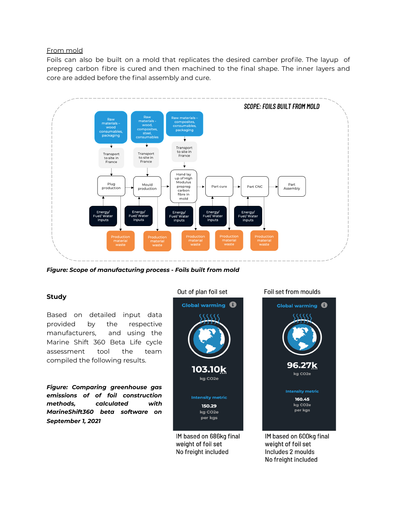#### From mold

Foils can also be built on a mold that replicates the desired camber profile. The layup of prepreg carbon fibre is cured and then machined to the final shape. The inner layers and core are added before the final assembly and cure.



*Figure: Scope of manufacturing process - Foils built from mold*

#### **Study**

Based on detailed input data provided by the respective manufacturers, and using the Marine Shift 360 Beta Life cycle assessment tool the team compiled the following results.

*Figure: Comparing greenhouse gas emissions of of foil construction methods, calculated with MarineShift360 beta software on September 1, 2021*



IM based on 686kg final weight of foil set No freight included

Foil set from moulds



IM based on 600kg final weight of foil set Includes 2 moulds No freight included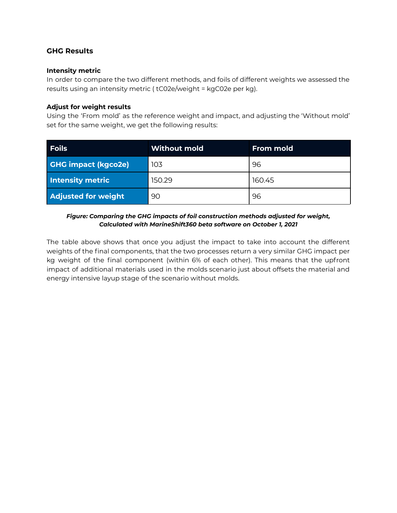# **GHG Results**

#### **Intensity metric**

In order to compare the two different methods, and foils of different weights we assessed the results using an intensity metric ( tC02e/weight = kgC02e per kg).

#### **Adjust for weight results**

Using the 'From mold' as the reference weight and impact, and adjusting the 'Without mold' set for the same weight, we get the following results:

| <b>Foils</b>               | <b>Without mold</b> | <b>From mold</b> |
|----------------------------|---------------------|------------------|
| <b>GHG impact (kgco2e)</b> | 103                 | 96               |
| <b>Intensity metric</b>    | 150.29              | 160.45           |
| <b>Adjusted for weight</b> | 90                  | 96               |

#### *Figure: Comparing the GHG impacts of foil construction methods adjusted for weight, Calculated with MarineShift360 beta software on October 1, 2021*

The table above shows that once you adjust the impact to take into account the different weights of the final components, that the two processes return a very similar GHG impact per kg weight of the final component (within 6% of each other). This means that the upfront impact of additional materials used in the molds scenario just about offsets the material and energy intensive layup stage of the scenario without molds.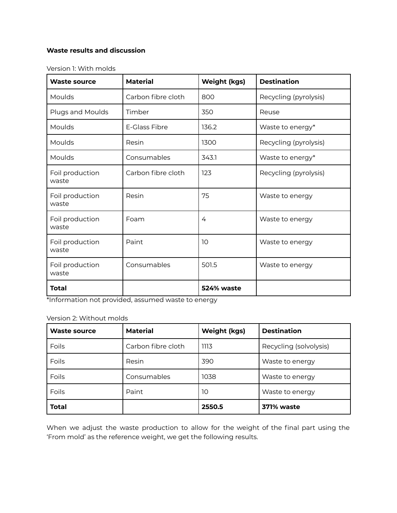# **Waste results and discussion**

Version 1: With molds

| <b>Waste source</b>      | <b>Material</b>    | <b>Weight (kgs)</b> | <b>Destination</b>    |
|--------------------------|--------------------|---------------------|-----------------------|
| Moulds                   | Carbon fibre cloth | 800                 | Recycling (pyrolysis) |
| Plugs and Moulds         | Timber             | 350                 | Reuse                 |
| Moulds                   | E-Glass Fibre      | 136.2               | Waste to energy*      |
| Moulds                   | Resin              | 1300                | Recycling (pyrolysis) |
| Moulds                   | Consumables        | 343.1               | Waste to energy*      |
| Foil production<br>waste | Carbon fibre cloth | 123                 | Recycling (pyrolysis) |
| Foil production<br>waste | Resin              | 75                  | Waste to energy       |
| Foil production<br>waste | Foam               | 4                   | Waste to energy       |
| Foil production<br>waste | Paint              | 10                  | Waste to energy       |
| Foil production<br>waste | Consumables        | 501.5               | Waste to energy       |
| <b>Total</b>             |                    | 524% waste          |                       |

\*Information not provided, assumed waste to energy

#### Version 2: Without molds

| <b>Waste source</b> | <b>Material</b>    | <b>Weight (kgs)</b> | <b>Destination</b>     |
|---------------------|--------------------|---------------------|------------------------|
| Foils               | Carbon fibre cloth | 1113                | Recycling (solvolysis) |
| Foils               | Resin              | 390                 | Waste to energy        |
| Foils               | Consumables        | 1038                | Waste to energy        |
| Foils               | Paint              | 10                  | Waste to energy        |
| <b>Total</b>        |                    | 2550.5              | 371% waste             |

When we adjust the waste production to allow for the weight of the final part using the 'From mold' as the reference weight, we get the following results.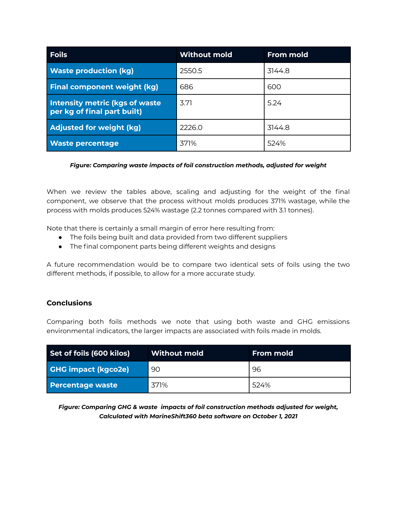| <b>Foils</b>                                                          | <b>Without mold</b> | <b>From mold</b> |
|-----------------------------------------------------------------------|---------------------|------------------|
| <b>Waste production (kg)</b>                                          | 2550.5              | 3144.8           |
| <b>Final component weight (kg)</b>                                    | 686                 | 600              |
| <b>Intensity metric (kgs of waste)</b><br>per kg of final part built) | 3.71                | 5.24             |
| <b>Adjusted for weight (kg)</b>                                       | 2226.0              | 3144.8           |
| <b>Waste percentage</b>                                               | 371%                | 524%             |

#### *Figure: Comparing waste impacts of foil construction methods, adjusted for weight*

When we review the tables above, scaling and adjusting for the weight of the final component, we observe that the process without molds produces 371% wastage, while the process with molds produces 524% wastage (2.2 tonnes compared with 3.1 tonnes).

Note that there is certainly a small margin of error here resulting from:

- The foils being built and data provided from two different suppliers
- The final component parts being different weights and designs

A future recommendation would be to compare two identical sets of foils using the two different methods, if possible, to allow for a more accurate study.

## **Conclusions**

Comparing both foils methods we note that using both waste and GHG emissions environmental indicators, the larger impacts are associated with foils made in molds.

| Set of foils (600 kilos)   | Without mold | From mold |
|----------------------------|--------------|-----------|
| <b>GHG impact (kgco2e)</b> | 90           | 96        |
| <b>Percentage waste</b>    | 371%         | 524%      |

*Figure: Comparing GHG & waste impacts of foil construction methods adjusted for weight, Calculated with MarineShift360 beta software on October 1, 2021*